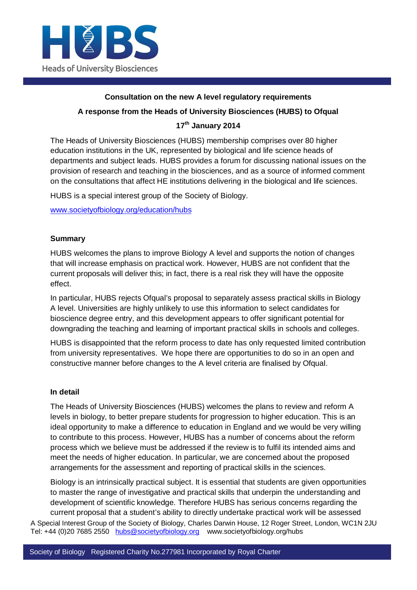

## **Consultation on the new A level regulatory requirements**

### **A response from the Heads of University Biosciences (HUBS) to Ofqual**

# **17th January 2014**

The Heads of University Biosciences (HUBS) membership comprises over 80 higher education institutions in the UK, represented by biological and life science heads of departments and subject leads. HUBS provides a forum for discussing national issues on the provision of research and teaching in the biosciences, and as a source of informed comment on the consultations that affect HE institutions delivering in the biological and life sciences.

HUBS is a special interest group of the Society of Biology.

www.societyofbiology.org/education/hubs

## **Summary**

HUBS welcomes the plans to improve Biology A level and supports the notion of changes that will increase emphasis on practical work. However, HUBS are not confident that the current proposals will deliver this; in fact, there is a real risk they will have the opposite effect.

In particular, HUBS rejects Ofqual's proposal to separately assess practical skills in Biology A level. Universities are highly unlikely to use this information to select candidates for bioscience degree entry, and this development appears to offer significant potential for downgrading the teaching and learning of important practical skills in schools and colleges.

HUBS is disappointed that the reform process to date has only requested limited contribution from university representatives. We hope there are opportunities to do so in an open and constructive manner before changes to the A level criteria are finalised by Ofqual.

#### **In detail**

The Heads of University Biosciences (HUBS) welcomes the plans to review and reform A levels in biology, to better prepare students for progression to higher education. This is an ideal opportunity to make a difference to education in England and we would be very willing to contribute to this process. However, HUBS has a number of concerns about the reform process which we believe must be addressed if the review is to fulfil its intended aims and meet the needs of higher education. In particular, we are concerned about the proposed arrangements for the assessment and reporting of practical skills in the sciences.

Biology is an intrinsically practical subject. It is essential that students are given opportunities to master the range of investigative and practical skills that underpin the understanding and development of scientific knowledge. Therefore HUBS has serious concerns regarding the current proposal that a student's ability to directly undertake practical work will be assessed

A Special Interest Group of the Society of Biology, Charles Darwin House, 12 Roger Street, London, WC1N 2JU Tel: +44 (0)20 7685 2550 hubs@societyofbiology.org www.societyofbiology.org/hubs